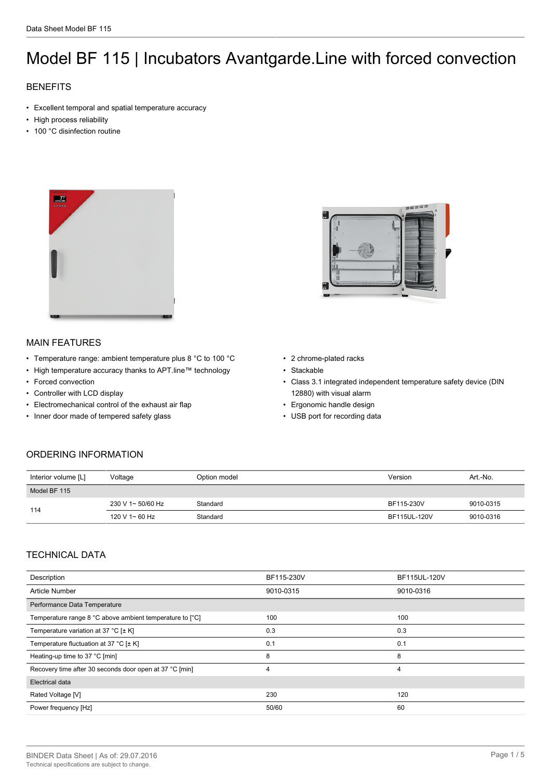# Model BF 115 | Incubators Avantgarde.Line with forced convection

## **BENEFITS**

- Excellent temporal and spatial temperature accuracy
- High process reliability
- 100 °C disinfection routine



## MAIN FEATURES

- Temperature range: ambient temperature plus 8 °C to 100 °C
- High temperature accuracy thanks to APT.line™ technology
- Forced convection
- Controller with LCD display
- Electromechanical control of the exhaust air flap
- Inner door made of tempered safety glass



- 2 chrome-plated racks
- Stackable
- Class 3.1 integrated independent temperature safety device (DIN 12880) with visual alarm
- Ergonomic handle design
- USB port for recording data

## ORDERING INFORMATION

| Interior volume [L] | Voltage           | Option model | Version      | Art.-No.  |
|---------------------|-------------------|--------------|--------------|-----------|
| Model BF 115        |                   |              |              |           |
| 114                 | 230 V 1~ 50/60 Hz | Standard     | BF115-230V   | 9010-0315 |
|                     | 120 V 1~ 60 Hz    | Standard     | BF115UL-120V | 9010-0316 |

#### TECHNICAL DATA

| Description                                              | BF115-230V | BF115UL-120V |  |
|----------------------------------------------------------|------------|--------------|--|
| <b>Article Number</b>                                    | 9010-0315  | 9010-0316    |  |
| Performance Data Temperature                             |            |              |  |
| Temperature range 8 °C above ambient temperature to [°C] | 100        | 100          |  |
| Temperature variation at 37 °C [ $\pm$ K]                | 0.3        | 0.3          |  |
| Temperature fluctuation at 37 °C [ $\pm$ K]              | 0.1        | 0.1          |  |
| Heating-up time to 37 °C [min]                           | 8          | 8            |  |
| Recovery time after 30 seconds door open at 37 °C [min]  | 4          | 4            |  |
| Electrical data                                          |            |              |  |
| Rated Voltage [V]                                        | 230        | 120          |  |
| Power frequency [Hz]                                     | 50/60      | 60           |  |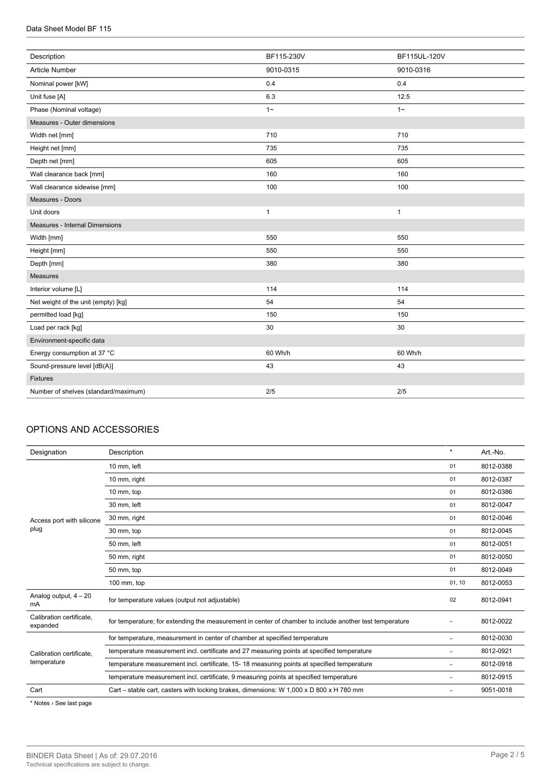| Description                          | BF115-230V   | BF115UL-120V |
|--------------------------------------|--------------|--------------|
| Article Number                       | 9010-0315    | 9010-0316    |
| Nominal power [kW]                   | 0.4          | 0.4          |
| Unit fuse [A]                        | 6.3          | 12.5         |
| Phase (Nominal voltage)              | $1 -$        | $1 -$        |
| Measures - Outer dimensions          |              |              |
| Width net [mm]                       | 710          | 710          |
| Height net [mm]                      | 735          | 735          |
| Depth net [mm]                       | 605          | 605          |
| Wall clearance back [mm]             | 160          | 160          |
| Wall clearance sidewise [mm]         | 100          | 100          |
| Measures - Doors                     |              |              |
| Unit doors                           | $\mathbf{1}$ | $\mathbf{1}$ |
| Measures - Internal Dimensions       |              |              |
| Width [mm]                           | 550          | 550          |
| Height [mm]                          | 550          | 550          |
| Depth [mm]                           | 380          | 380          |
| <b>Measures</b>                      |              |              |
| Interior volume [L]                  | 114          | 114          |
| Net weight of the unit (empty) [kg]  | 54           | 54           |
| permitted load [kg]                  | 150          | 150          |
| Load per rack [kg]                   | 30           | 30           |
| Environment-specific data            |              |              |
| Energy consumption at 37 °C          | 60 Wh/h      | 60 Wh/h      |
| Sound-pressure level [dB(A)]         | 43           | 43           |
| <b>Fixtures</b>                      |              |              |
| Number of shelves (standard/maximum) | 2/5          | 2/5          |
|                                      |              |              |

### OPTIONS AND ACCESSORIES

| Designation                             | Description                                                                                             | $\star$                  | Art.-No.  |
|-----------------------------------------|---------------------------------------------------------------------------------------------------------|--------------------------|-----------|
|                                         | 10 mm, left                                                                                             | 01                       | 8012-0388 |
|                                         | 10 mm, right                                                                                            | 01                       | 8012-0387 |
|                                         | 10 mm, top                                                                                              | 01                       | 8012-0386 |
|                                         | 30 mm, left                                                                                             | 01                       | 8012-0047 |
| Access port with silicone<br>plug       | 30 mm, right                                                                                            | 01                       | 8012-0046 |
|                                         | 30 mm, top                                                                                              | 01                       | 8012-0045 |
|                                         | 50 mm, left                                                                                             | 01                       | 8012-0051 |
|                                         | 50 mm, right                                                                                            | 01                       | 8012-0050 |
|                                         | 50 mm, top                                                                                              | 01                       | 8012-0049 |
|                                         | 100 mm, top                                                                                             | 01, 10                   | 8012-0053 |
| Analog output, $4 - 20$<br>mA           | for temperature values (output not adjustable)                                                          | 02                       | 8012-0941 |
| Calibration certificate,<br>expanded    | for temperature; for extending the measurement in center of chamber to include another test temperature |                          | 8012-0022 |
|                                         | for temperature, measurement in center of chamber at specified temperature                              | ۰                        | 8012-0030 |
| Calibration certificate.<br>temperature | temperature measurement incl. certificate and 27 measuring points at specified temperature              | $\overline{\phantom{0}}$ | 8012-0921 |
|                                         | temperature measurement incl. certificate, 15-18 measuring points at specified temperature              | $\overline{\phantom{0}}$ | 8012-0918 |
|                                         | temperature measurement incl. certificate, 9 measuring points at specified temperature                  | -                        | 8012-0915 |
| Cart                                    | Cart – stable cart, casters with locking brakes, dimensions: W $1,000 \times D$ 800 x H 780 mm          | ۰                        | 9051-0018 |

\* Notes › See last page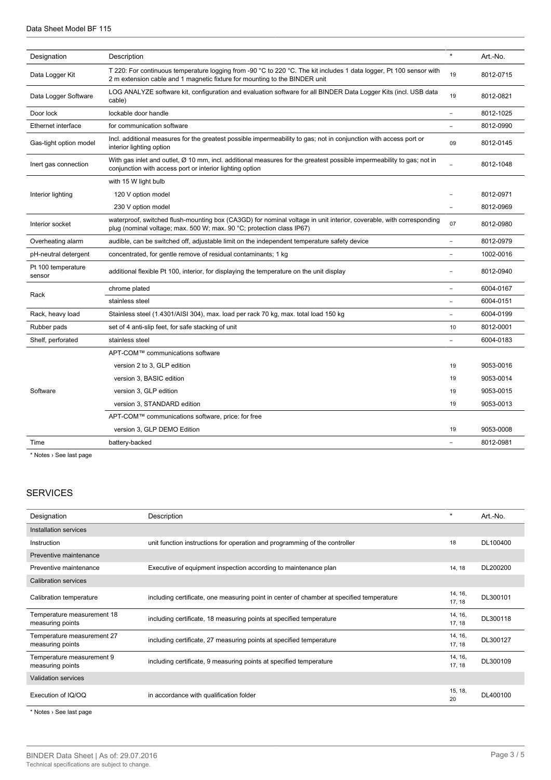| Designation                  | Description                                                                                                                                                                                       | $\star$ | Art.-No.  |
|------------------------------|---------------------------------------------------------------------------------------------------------------------------------------------------------------------------------------------------|---------|-----------|
| Data Logger Kit              | T 220: For continuous temperature logging from -90 °C to 220 °C. The kit includes 1 data logger, Pt 100 sensor with<br>2 m extension cable and 1 magnetic fixture for mounting to the BINDER unit |         | 8012-0715 |
| Data Logger Software         | LOG ANALYZE software kit, configuration and evaluation software for all BINDER Data Logger Kits (incl. USB data<br>cable)                                                                         |         | 8012-0821 |
| Door lock                    | lockable door handle                                                                                                                                                                              | ÷,      | 8012-1025 |
| Ethernet interface           | for communication software                                                                                                                                                                        | ÷       | 8012-0990 |
| Gas-tight option model       | Incl. additional measures for the greatest possible impermeability to gas; not in conjunction with access port or<br>interior lighting option                                                     | 09      | 8012-0145 |
| Inert gas connection         | With gas inlet and outlet, Ø 10 mm, incl. additional measures for the greatest possible impermeability to gas; not in<br>conjunction with access port or interior lighting option                 |         | 8012-1048 |
|                              | with 15 W light bulb                                                                                                                                                                              |         |           |
| Interior lighting            | 120 V option model                                                                                                                                                                                |         | 8012-0971 |
|                              | 230 V option model                                                                                                                                                                                |         | 8012-0969 |
| Interior socket              | waterproof, switched flush-mounting box (CA3GD) for nominal voltage in unit interior, coverable, with corresponding<br>plug (nominal voltage; max. 500 W; max. 90 °C; protection class IP67)      | 07      | 8012-0980 |
| Overheating alarm            | audible, can be switched off, adjustable limit on the independent temperature safety device                                                                                                       |         | 8012-0979 |
| pH-neutral detergent         | concentrated, for gentle remove of residual contaminants; 1 kg                                                                                                                                    |         | 1002-0016 |
| Pt 100 temperature<br>sensor | additional flexible Pt 100, interior, for displaying the temperature on the unit display                                                                                                          |         | 8012-0940 |
|                              | chrome plated                                                                                                                                                                                     |         | 6004-0167 |
| Rack                         | stainless steel                                                                                                                                                                                   |         | 6004-0151 |
| Rack, heavy load             | Stainless steel (1.4301/AISI 304), max. load per rack 70 kg, max. total load 150 kg                                                                                                               |         | 6004-0199 |
| Rubber pads                  | set of 4 anti-slip feet, for safe stacking of unit                                                                                                                                                | 10      | 8012-0001 |
| Shelf, perforated            | stainless steel                                                                                                                                                                                   |         | 6004-0183 |
|                              | APT-COM™ communications software                                                                                                                                                                  |         |           |
|                              | version 2 to 3, GLP edition                                                                                                                                                                       | 19      | 9053-0016 |
| Software                     | version 3, BASIC edition                                                                                                                                                                          | 19      | 9053-0014 |
|                              | version 3, GLP edition                                                                                                                                                                            | 19      | 9053-0015 |
|                              | version 3, STANDARD edition                                                                                                                                                                       | 19      | 9053-0013 |
|                              | APT-COM™ communications software, price: for free                                                                                                                                                 |         |           |
|                              | version 3, GLP DEMO Edition                                                                                                                                                                       | 19      | 9053-0008 |
| Time                         | battery-backed                                                                                                                                                                                    |         | 8012-0981 |
|                              |                                                                                                                                                                                                   |         |           |

\* Notes › See last page

## **SERVICES**

| Designation                                    | Description                                                                              | $\star$           | Art.-No. |
|------------------------------------------------|------------------------------------------------------------------------------------------|-------------------|----------|
| Installation services                          |                                                                                          |                   |          |
| Instruction                                    | unit function instructions for operation and programming of the controller               | 18                | DL100400 |
| Preventive maintenance                         |                                                                                          |                   |          |
| Preventive maintenance                         | Executive of equipment inspection according to maintenance plan                          | 14, 18            | DL200200 |
| Calibration services                           |                                                                                          |                   |          |
| Calibration temperature                        | including certificate, one measuring point in center of chamber at specified temperature | 14, 16,<br>17, 18 | DL300101 |
| Temperature measurement 18<br>measuring points | including certificate, 18 measuring points at specified temperature                      | 14, 16,<br>17, 18 | DL300118 |
| Temperature measurement 27<br>measuring points | including certificate, 27 measuring points at specified temperature                      | 14, 16,<br>17, 18 | DL300127 |
| Temperature measurement 9<br>measuring points  | including certificate, 9 measuring points at specified temperature                       | 14, 16,<br>17, 18 | DL300109 |
| <b>Validation services</b>                     |                                                                                          |                   |          |
| Execution of IQ/OQ                             | in accordance with qualification folder                                                  | 15, 18,<br>20     | DL400100 |

\* Notes › See last page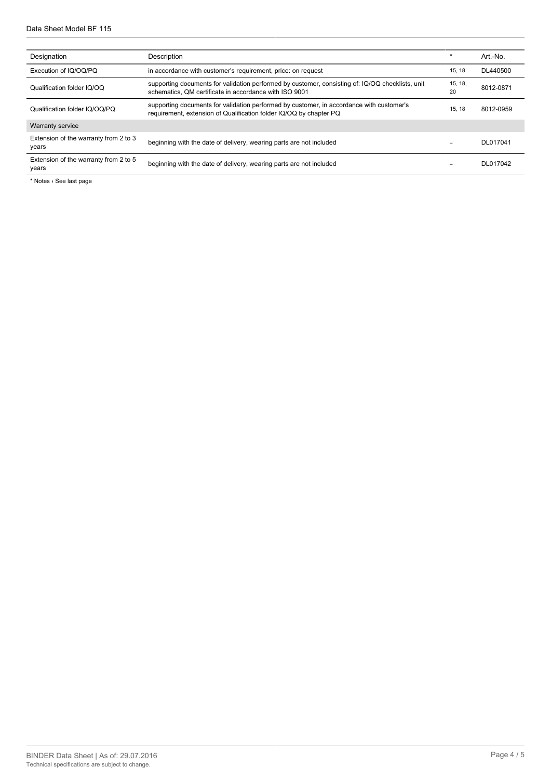| Designation                                    | Description                                                                                                                                                    | $\star$       | Art.-No.  |
|------------------------------------------------|----------------------------------------------------------------------------------------------------------------------------------------------------------------|---------------|-----------|
| Execution of IQ/OQ/PQ                          | in accordance with customer's requirement, price: on request                                                                                                   | 15.18         | DL440500  |
| Qualification folder IQ/OQ                     | supporting documents for validation performed by customer, consisting of: IQ/OQ checklists, unit<br>schematics, QM certificate in accordance with ISO 9001     | 15, 18,<br>20 | 8012-0871 |
| Qualification folder IQ/OQ/PQ                  | supporting documents for validation performed by customer, in accordance with customer's<br>requirement, extension of Qualification folder IQ/OQ by chapter PQ | 15.18         | 8012-0959 |
| <b>Warranty service</b>                        |                                                                                                                                                                |               |           |
| Extension of the warranty from 2 to 3<br>years | beginning with the date of delivery, wearing parts are not included                                                                                            |               | DL017041  |
| Extension of the warranty from 2 to 5<br>years | beginning with the date of delivery, wearing parts are not included                                                                                            |               | DL017042  |

\* Notes › See last page